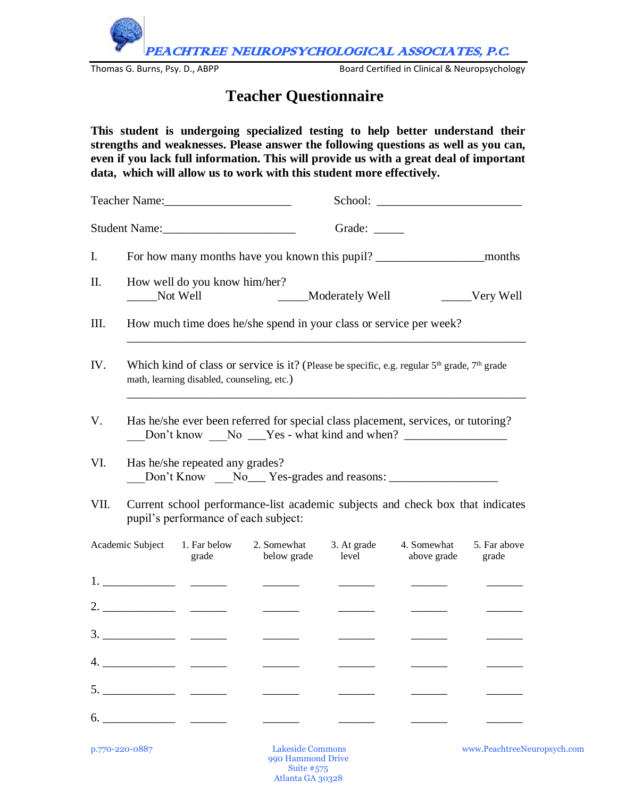PEACHTREE NEUROPSYCHOLOGICAL ASSOCIATES, P.C.

Thomas G. Burns, Psy. D., ABPP **Board Certified in Clinical & Neuropsychology** 

## **Teacher Questionnaire**

**This student is undergoing specialized testing to help better understand their strengths and weaknesses. Please answer the following questions as well as you can, even if you lack full information. This will provide us with a great deal of important data, which will allow us to work with this student more effectively.**

|                           |                                                                                                                                                                        | Teacher Name:                                                                                                                                                                                                                                                                                                                                                                                                                                                                                 |                            |                      |                            |                       |  |  |  |  |  |
|---------------------------|------------------------------------------------------------------------------------------------------------------------------------------------------------------------|-----------------------------------------------------------------------------------------------------------------------------------------------------------------------------------------------------------------------------------------------------------------------------------------------------------------------------------------------------------------------------------------------------------------------------------------------------------------------------------------------|----------------------------|----------------------|----------------------------|-----------------------|--|--|--|--|--|
|                           |                                                                                                                                                                        | Student Name:                                                                                                                                                                                                                                                                                                                                                                                                                                                                                 |                            | Grade: ______        |                            |                       |  |  |  |  |  |
| I.                        | For how many months have you known this pupil?<br>months                                                                                                               |                                                                                                                                                                                                                                                                                                                                                                                                                                                                                               |                            |                      |                            |                       |  |  |  |  |  |
| Π.                        | How well do you know him/her?<br>Not Well<br>Moderately Well<br>Very Well                                                                                              |                                                                                                                                                                                                                                                                                                                                                                                                                                                                                               |                            |                      |                            |                       |  |  |  |  |  |
| III.                      | How much time does he/she spend in your class or service per week?                                                                                                     |                                                                                                                                                                                                                                                                                                                                                                                                                                                                                               |                            |                      |                            |                       |  |  |  |  |  |
| IV.                       | Which kind of class or service is it? (Please be specific, e.g. regular $5th$ grade, $7th$ grade<br>math, learning disabled, counseling, etc.)                         |                                                                                                                                                                                                                                                                                                                                                                                                                                                                                               |                            |                      |                            |                       |  |  |  |  |  |
| V.                        | Has he/she ever been referred for special class placement, services, or tutoring?<br>Don't know _____ No ______Yes - what kind and when? _____________________________ |                                                                                                                                                                                                                                                                                                                                                                                                                                                                                               |                            |                      |                            |                       |  |  |  |  |  |
| VI.                       | Has he/she repeated any grades?                                                                                                                                        |                                                                                                                                                                                                                                                                                                                                                                                                                                                                                               |                            |                      |                            |                       |  |  |  |  |  |
| VII.                      | Current school performance-list academic subjects and check box that indicates<br>pupil's performance of each subject:                                                 |                                                                                                                                                                                                                                                                                                                                                                                                                                                                                               |                            |                      |                            |                       |  |  |  |  |  |
| Academic Subject<br>grade |                                                                                                                                                                        | 1. Far below                                                                                                                                                                                                                                                                                                                                                                                                                                                                                  | 2. Somewhat<br>below grade | 3. At grade<br>level | 4. Somewhat<br>above grade | 5. Far above<br>grade |  |  |  |  |  |
|                           |                                                                                                                                                                        | $1. \underline{\hspace{2.0cm}1. \underline{\hspace{2.0cm}1. \underline{\hspace{2.0cm}1. \underline{\hspace{2.0cm}1. \underline{\hspace{2.0cm}1. \underline{\hspace{2.0cm}1. \underline{\hspace{2.0cm}1. \underline{\hspace{2.0cm}1. \underline{\hspace{2.0cm}1. \underline{\hspace{2.0cm}1. \underline{\hspace{2.0cm}1. \underline{\hspace{2.0cm}1. \underline{\hspace{2.0cm}1. \underline{\hspace{2.0cm}1. \underline{\hspace{2.0cm}1. \underline{\hspace{2.0cm}1. \underline{\hspace{2.0cm$ |                            |                      |                            |                       |  |  |  |  |  |
|                           |                                                                                                                                                                        |                                                                                                                                                                                                                                                                                                                                                                                                                                                                                               |                            |                      |                            |                       |  |  |  |  |  |
|                           |                                                                                                                                                                        |                                                                                                                                                                                                                                                                                                                                                                                                                                                                                               |                            |                      |                            |                       |  |  |  |  |  |
|                           |                                                                                                                                                                        |                                                                                                                                                                                                                                                                                                                                                                                                                                                                                               |                            |                      |                            |                       |  |  |  |  |  |
|                           |                                                                                                                                                                        |                                                                                                                                                                                                                                                                                                                                                                                                                                                                                               |                            |                      |                            |                       |  |  |  |  |  |
|                           |                                                                                                                                                                        |                                                                                                                                                                                                                                                                                                                                                                                                                                                                                               |                            |                      |                            |                       |  |  |  |  |  |

p.770-220-0887 Lakeside Commons www.PeachtreeNeuropsych.com